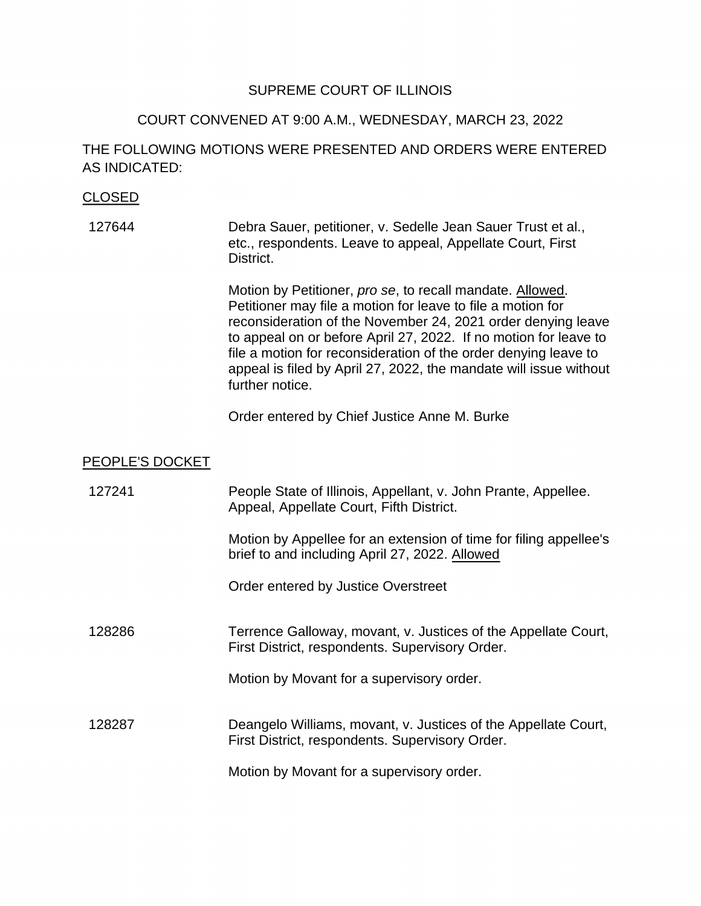#### SUPREME COURT OF ILLINOIS

#### COURT CONVENED AT 9:00 A.M., WEDNESDAY, MARCH 23, 2022

# THE FOLLOWING MOTIONS WERE PRESENTED AND ORDERS WERE ENTERED AS INDICATED:

# CLOSED

127644 Debra Sauer, petitioner, v. Sedelle Jean Sauer Trust et al., etc., respondents. Leave to appeal, Appellate Court, First District.

> Motion by Petitioner, *pro se*, to recall mandate. Allowed. to appeal on or before April 27, 2022. If no motion for leave to file a motion for reconsideration of the order denying leave to appeal is filed by April 27, 2022, the mandate will issue without Petitioner may file a motion for leave to file a motion for reconsideration of the November 24, 2021 order denying leave further notice.

Order entered by Chief Justice Anne M. Burke

#### PEOPLE'S DOCKET

| 127241 | People State of Illinois, Appellant, v. John Prante, Appellee.<br>Appeal, Appellate Court, Fifth District.          |
|--------|---------------------------------------------------------------------------------------------------------------------|
|        | Motion by Appellee for an extension of time for filing appellee's<br>brief to and including April 27, 2022. Allowed |
|        | Order entered by Justice Overstreet                                                                                 |
| 128286 | Terrence Galloway, movant, v. Justices of the Appellate Court,<br>First District, respondents. Supervisory Order.   |
|        | Motion by Movant for a supervisory order.                                                                           |
| 128287 | Deangelo Williams, movant, v. Justices of the Appellate Court,<br>First District, respondents. Supervisory Order.   |
|        | Motion by Movant for a supervisory order.                                                                           |